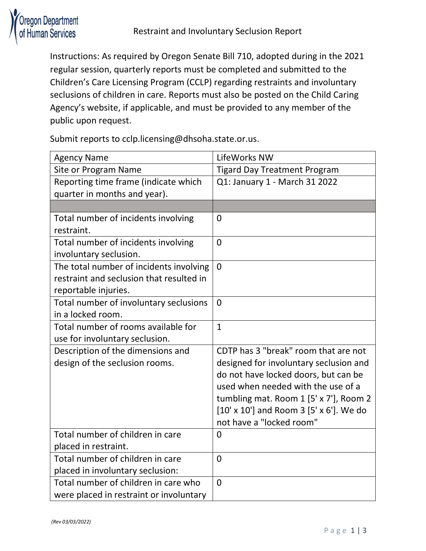

Instructions: As required by Oregon Senate Bill 710, adopted during in the 2021 regular session, quarterly reports must be completed and submitted to the Children's Care Licensing Program (CCLP) regarding restraints and involuntary seclusions of children in care. Reports must also be posted on the Child Caring Agency's website, if applicable, and must be provided to any member of the public upon request.

Submit reports to cclp.licensing@dhsoha.state.or.us.

| <b>Agency Name</b>                       | LifeWorks NW                            |
|------------------------------------------|-----------------------------------------|
| Site or Program Name                     | <b>Tigard Day Treatment Program</b>     |
| Reporting time frame (indicate which     | Q1: January 1 - March 31 2022           |
| quarter in months and year).             |                                         |
|                                          |                                         |
| Total number of incidents involving      | $\mathbf 0$                             |
| restraint.                               |                                         |
| Total number of incidents involving      | $\overline{0}$                          |
| involuntary seclusion.                   |                                         |
| The total number of incidents involving  | $\overline{0}$                          |
| restraint and seclusion that resulted in |                                         |
| reportable injuries.                     |                                         |
| Total number of involuntary seclusions   | $\overline{0}$                          |
| in a locked room.                        |                                         |
| Total number of rooms available for      | $\mathbf{1}$                            |
| use for involuntary seclusion.           |                                         |
| Description of the dimensions and        | CDTP has 3 "break" room that are not    |
| design of the seclusion rooms.           | designed for involuntary seclusion and  |
|                                          | do not have locked doors, but can be    |
|                                          | used when needed with the use of a      |
|                                          | tumbling mat. Room 1 [5' x 7'], Room 2  |
|                                          | [10' x 10'] and Room 3 [5' x 6']. We do |
|                                          | not have a "locked room"                |
| Total number of children in care         | 0                                       |
| placed in restraint.                     |                                         |
| Total number of children in care         | $\overline{0}$                          |
| placed in involuntary seclusion:         |                                         |
| Total number of children in care who     | $\overline{0}$                          |
| were placed in restraint or involuntary  |                                         |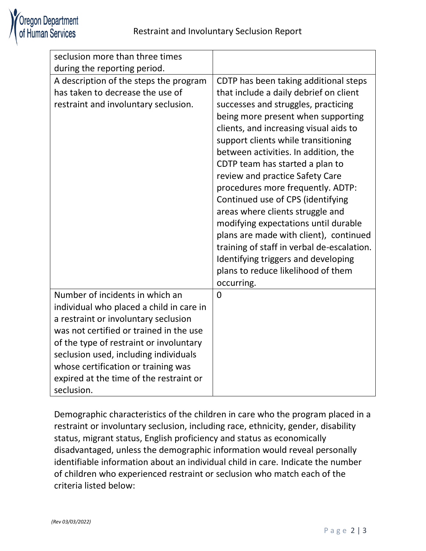| seclusion more than three times<br>during the reporting period. |                                            |
|-----------------------------------------------------------------|--------------------------------------------|
|                                                                 |                                            |
| A description of the steps the program                          | CDTP has been taking additional steps      |
| has taken to decrease the use of                                | that include a daily debrief on client     |
| restraint and involuntary seclusion.                            | successes and struggles, practicing        |
|                                                                 | being more present when supporting         |
|                                                                 | clients, and increasing visual aids to     |
|                                                                 | support clients while transitioning        |
|                                                                 | between activities. In addition, the       |
|                                                                 | CDTP team has started a plan to            |
|                                                                 | review and practice Safety Care            |
|                                                                 | procedures more frequently. ADTP:          |
|                                                                 | Continued use of CPS (identifying          |
|                                                                 | areas where clients struggle and           |
|                                                                 | modifying expectations until durable       |
|                                                                 | plans are made with client), continued     |
|                                                                 | training of staff in verbal de-escalation. |
|                                                                 | Identifying triggers and developing        |
|                                                                 | plans to reduce likelihood of them         |
|                                                                 | occurring.                                 |
| Number of incidents in which an                                 | $\Omega$                                   |
| individual who placed a child in care in                        |                                            |
| a restraint or involuntary seclusion                            |                                            |
| was not certified or trained in the use                         |                                            |
| of the type of restraint or involuntary                         |                                            |
| seclusion used, including individuals                           |                                            |
| whose certification or training was                             |                                            |
| expired at the time of the restraint or                         |                                            |
| seclusion.                                                      |                                            |

Demographic characteristics of the children in care who the program placed in a restraint or involuntary seclusion, including race, ethnicity, gender, disability status, migrant status, English proficiency and status as economically disadvantaged, unless the demographic information would reveal personally identifiable information about an individual child in care. Indicate the number of children who experienced restraint or seclusion who match each of the criteria listed below: